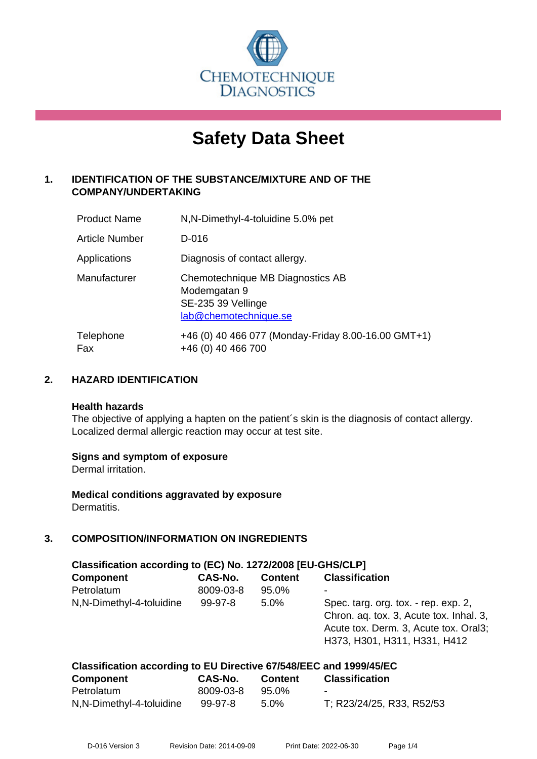

# **Safety Data Sheet**

# **1. IDENTIFICATION OF THE SUBSTANCE/MIXTURE AND OF THE COMPANY/UNDERTAKING**

| <b>Product Name</b>   | N, N-Dimethyl-4-toluidine 5.0% pet                                                              |
|-----------------------|-------------------------------------------------------------------------------------------------|
| <b>Article Number</b> | D-016                                                                                           |
| Applications          | Diagnosis of contact allergy.                                                                   |
| Manufacturer          | Chemotechnique MB Diagnostics AB<br>Modemgatan 9<br>SE-235 39 Vellinge<br>lab@chemotechnique.se |
| Telephone<br>Fax      | +46 (0) 40 466 077 (Monday-Friday 8.00-16.00 GMT+1)<br>+46 (0) 40 466 700                       |

# **2. HAZARD IDENTIFICATION**

#### **Health hazards**

The objective of applying a hapten on the patient's skin is the diagnosis of contact allergy. Localized dermal allergic reaction may occur at test site.

#### **Signs and symptom of exposure**

Dermal irritation.

**Medical conditions aggravated by exposure** Dermatitis.

# **3. COMPOSITION/INFORMATION ON INGREDIENTS**

| Classification according to (EC) No. 1272/2008 [EU-GHS/CLP]        |           |                |                                                                                                                                                          |  |
|--------------------------------------------------------------------|-----------|----------------|----------------------------------------------------------------------------------------------------------------------------------------------------------|--|
| <b>Component</b>                                                   | CAS-No.   | <b>Content</b> | <b>Classification</b>                                                                                                                                    |  |
| Petrolatum                                                         | 8009-03-8 | 95.0%          |                                                                                                                                                          |  |
| N, N-Dimethyl-4-toluidine                                          | $99-97-8$ | $5.0\%$        | Spec. targ. org. tox. - rep. exp. 2,<br>Chron. aq. tox. 3, Acute tox. Inhal. 3,<br>Acute tox. Derm. 3, Acute tox. Oral3;<br>H373, H301, H311, H331, H412 |  |
| Classification according to EU Directive 67/548/EEC and 1999/45/EC |           |                |                                                                                                                                                          |  |

| <b>Component</b>          | <b>CAS-No.</b> | <b>Content</b> | <b>Classification</b>     |
|---------------------------|----------------|----------------|---------------------------|
| Petrolatum                | 8009-03-8      | 95.0%          | $\overline{\phantom{a}}$  |
| N, N-Dimethyl-4-toluidine | 99-97-8        | $5.0\%$        | T; R23/24/25, R33, R52/53 |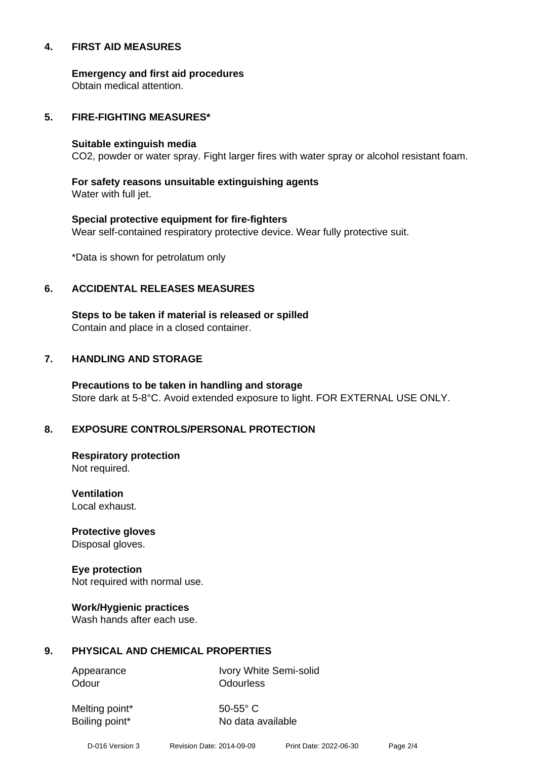#### **4. FIRST AID MEASURES**

**Emergency and first aid procedures**

Obtain medical attention.

#### **5. FIRE-FIGHTING MEASURES\***

#### **Suitable extinguish media**

CO2, powder or water spray. Fight larger fires with water spray or alcohol resistant foam.

# **For safety reasons unsuitable extinguishing agents**

Water with full jet.

# **Special protective equipment for fire-fighters** Wear self-contained respiratory protective device. Wear fully protective suit.

\*Data is shown for petrolatum only

# **6. ACCIDENTAL RELEASES MEASURES**

**Steps to be taken if material is released or spilled** Contain and place in a closed container.

# **7. HANDLING AND STORAGE**

**Precautions to be taken in handling and storage** Store dark at 5-8°C. Avoid extended exposure to light. FOR EXTERNAL USE ONLY.

# **8. EXPOSURE CONTROLS/PERSONAL PROTECTION**

**Respiratory protection** Not required.

**Ventilation** Local exhaust.

**Protective gloves** Disposal gloves.

# **Eye protection**

Not required with normal use.

#### **Work/Hygienic practices**

Wash hands after each use.

#### **9. PHYSICAL AND CHEMICAL PROPERTIES**

Odour **Odourless** 

Appearance Ivory White Semi-solid

Melting point\* 50-55° C

Boiling point\* No data available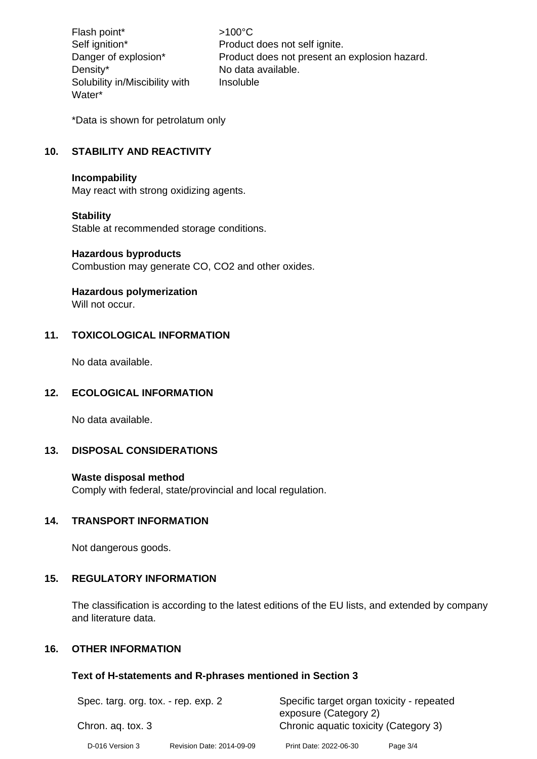Flash point\*  $>100^{\circ}$ C Density\* No data available. Solubility in/Miscibility with Water\*

Self ignition\* Product does not self ignite. Danger of explosion\* Product does not present an explosion hazard. Insoluble

\*Data is shown for petrolatum only

# **10. STABILITY AND REACTIVITY**

#### **Incompability**

May react with strong oxidizing agents.

#### **Stability**

Stable at recommended storage conditions.

#### **Hazardous byproducts**

Combustion may generate CO, CO2 and other oxides.

#### **Hazardous polymerization**

Will not occur

#### **11. TOXICOLOGICAL INFORMATION**

No data available.

#### **12. ECOLOGICAL INFORMATION**

No data available.

#### **13. DISPOSAL CONSIDERATIONS**

#### **Waste disposal method**

Comply with federal, state/provincial and local regulation.

# **14. TRANSPORT INFORMATION**

Not dangerous goods.

# **15. REGULATORY INFORMATION**

The classification is according to the latest editions of the EU lists, and extended by company and literature data.

# **16. OTHER INFORMATION**

#### **Text of H-statements and R-phrases mentioned in Section 3**

| Spec. targ. org. tox. - rep. exp. 2<br>Chron. ag. tox. 3 |  | Specific target organ toxicity - repeated<br>exposure (Category 2)<br>Chronic aquatic toxicity (Category 3) |  |  |
|----------------------------------------------------------|--|-------------------------------------------------------------------------------------------------------------|--|--|
|                                                          |  |                                                                                                             |  |  |